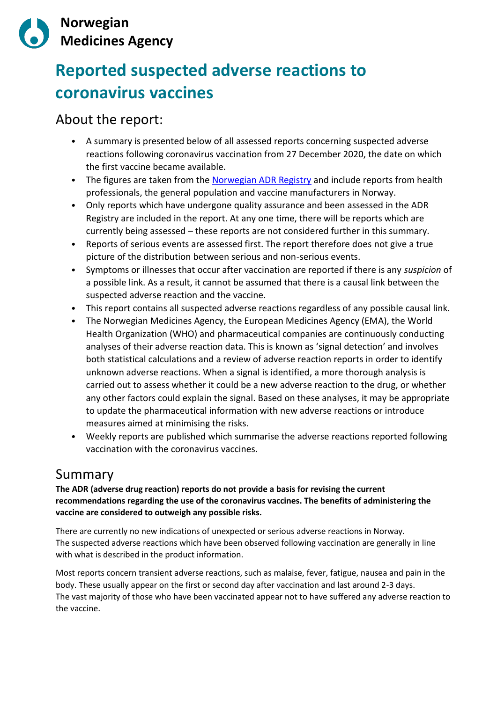

# **Reported suspected adverse reactions to coronavirus vaccines**

# About the report:

- *•* A summary is presented below of all assessed reports concerning suspected adverse reactions following coronavirus vaccination from 27 December 2020, the date on which the first vaccine became available.
- *•* The figures are taken from the [Norwegian ADR Registry](https://legemiddelverket.no/bivirkninger-og-sikkerhet/meld-bivirkninger/bivirkningsregisteret) and include reports from health professionals, the general population and vaccine manufacturers in Norway.
- *•* Only reports which have undergone quality assurance and been assessed in the ADR Registry are included in the report. At any one time, there will be reports which are currently being assessed – these reports are not considered further in this summary.
- *•* Reports of serious events are assessed first. The report therefore does not give a true picture of the distribution between serious and non-serious events.
- *•* Symptoms or illnesses that occur after vaccination are reported if there is any *suspicion* of a possible link. As a result, it cannot be assumed that there is a causal link between the suspected adverse reaction and the vaccine.
- *•* This report contains all suspected adverse reactions regardless of any possible causal link.
- *•* The Norwegian Medicines Agency, the European Medicines Agency (EMA), the World Health Organization (WHO) and pharmaceutical companies are continuously conducting analyses of their adverse reaction data. This is known as 'signal detection' and involves both statistical calculations and a review of adverse reaction reports in order to identify unknown adverse reactions. When a signal is identified, a more thorough analysis is carried out to assess whether it could be a new adverse reaction to the drug, or whether any other factors could explain the signal. Based on these analyses, it may be appropriate to update the pharmaceutical information with new adverse reactions or introduce measures aimed at minimising the risks.
- *•* Weekly reports are published which summarise the adverse reactions reported following vaccination with the coronavirus vaccines.

# Summary

**The ADR (adverse drug reaction) reports do not provide a basis for revising the current recommendations regarding the use of the coronavirus vaccines. The benefits of administering the vaccine are considered to outweigh any possible risks.**

There are currently no new indications of unexpected or serious adverse reactions in Norway. The suspected adverse reactions which have been observed following vaccination are generally in line with what is described in the product information.

Most reports concern transient adverse reactions, such as malaise, fever, fatigue, nausea and pain in the body. These usually appear on the first or second day after vaccination and last around 2-3 days. The vast majority of those who have been vaccinated appear not to have suffered any adverse reaction to the vaccine.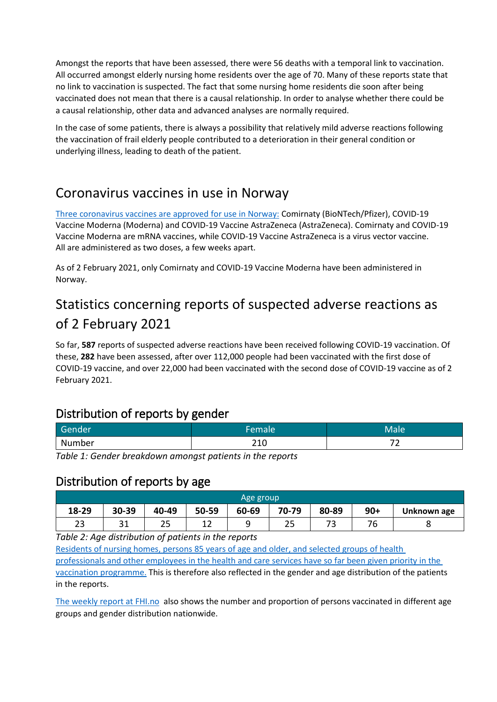Amongst the reports that have been assessed, there were 56 deaths with a temporal link to vaccination. All occurred amongst elderly nursing home residents over the age of 70. Many of these reports state that no link to vaccination is suspected. The fact that some nursing home residents die soon after being vaccinated does not mean that there is a causal relationship. In order to analyse whether there could be a causal relationship, other data and advanced analyses are normally required.

In the case of some patients, there is always a possibility that relatively mild adverse reactions following the vaccination of frail elderly people contributed to a deterioration in their general condition or underlying illness, leading to death of the patient.

# Coronavirus vaccines in use in Norway

[Three coronavirus vaccines are approved](https://legemiddelverket.no/godkjenning/koronavaksiner) for use in Norway: Comirnaty (BioNTech/Pfizer), COVID-19 Vaccine Moderna (Moderna) and COVID-19 Vaccine AstraZeneca (AstraZeneca). Comirnaty and COVID-19 Vaccine Moderna are mRNA vaccines, while COVID-19 Vaccine AstraZeneca is a virus vector vaccine. All are administered as two doses, a few weeks apart.

As of 2 February 2021, only Comirnaty and COVID-19 Vaccine Moderna have been administered in Norway.

# Statistics concerning reports of suspected adverse reactions as of 2 February 2021

So far, **587** reports of suspected adverse reactions have been received following COVID-19 vaccination. Of these, **282** have been assessed, after over 112,000 people had been vaccinated with the first dose of COVID-19 vaccine, and over 22,000 had been vaccinated with the second dose of COVID-19 vaccine as of 2 February 2021.

# Distribution of reports by gender

| Gender | Female' | Male                          |
|--------|---------|-------------------------------|
| Number | ᅩㅗ      | $\overline{\phantom{a}}$<br>- |

*Table 1: Gender breakdown amongst patients in the reports*

#### Distribution of reports by age

| Age group |           |       |           |       |           |       |          |             |
|-----------|-----------|-------|-----------|-------|-----------|-------|----------|-------------|
| 18-29     | 30-39     | 40-49 | 50-59     | 60-69 | 70-79     | 80-89 | $90+$    | Unknown age |
| 23        | າ 1<br>JТ | 25    | . .<br>∸∸ |       | ח ה<br>رے | 70    | 70<br>'b |             |

*Table 2: Age distribution of patients in the reports*

[Residents of nursing homes, persons 85 years of age and older, and selected groups of health](https://www.fhi.no/sv/vaksine/koronavaksinasjonsprogrammet/hvem-kan-fa-koronavaksine/)  [professionals and other](https://www.fhi.no/sv/vaksine/koronavaksinasjonsprogrammet/hvem-kan-fa-koronavaksine/) [employees in the health and care services have so far been given priority in the](https://www.fhi.no/sv/vaksine/koronavaksinasjonsprogrammet/hvem-kan-fa-koronavaksine/)  [vaccination programme.](https://www.fhi.no/sv/vaksine/koronavaksinasjonsprogrammet/hvem-kan-fa-koronavaksine/) This is therefore also reflected in the gender and age distribution of the patients in the reports.

[The weekly report at FHI.no](https://www.fhi.no/publ/2020/koronavirus-ukerapporter/) also shows the number and proportion of persons vaccinated in different age groups and gender distribution nationwide.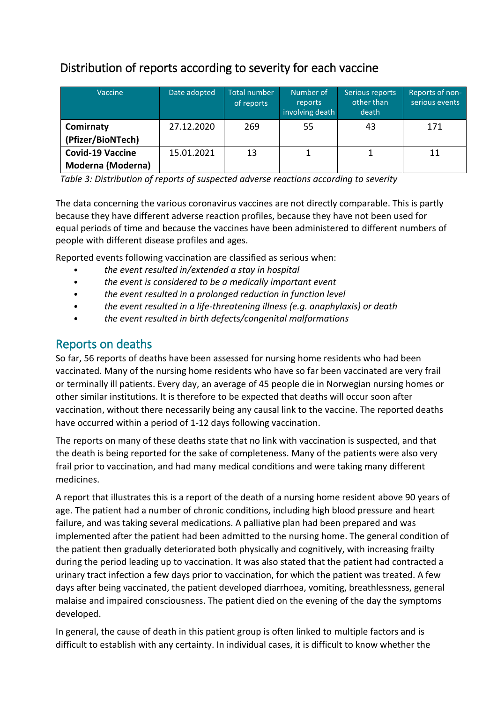# Distribution of reports according to severity for each vaccine

| Vaccine                                             | Date adopted | Total number<br>of reports | Number of<br>reports<br>involving death | Serious reports<br>other than<br>death | Reports of non-<br>serious events |
|-----------------------------------------------------|--------------|----------------------------|-----------------------------------------|----------------------------------------|-----------------------------------|
| Comirnaty<br>(Pfizer/BioNTech)                      | 27.12.2020   | 269                        | 55                                      | 43                                     | 171                               |
| <b>Covid-19 Vaccine</b><br><b>Moderna (Moderna)</b> | 15.01.2021   | 13                         |                                         |                                        | 11                                |

*Table 3: Distribution of reports of suspected adverse reactions according to severity*

The data concerning the various coronavirus vaccines are not directly comparable. This is partly because they have different adverse reaction profiles, because they have not been used for equal periods of time and because the vaccines have been administered to different numbers of people with different disease profiles and ages.

Reported events following vaccination are classified as serious when:

- *• the event resulted in/extended a stay in hospital*
- *• the event is considered to be a medically important event*
- *• the event resulted in a prolonged reduction in function level*
- *• the event resulted in a life-threatening illness (e.g. anaphylaxis) or death*
- *• the event resulted in birth defects/congenital malformations*

# Reports on deaths

So far, 56 reports of deaths have been assessed for nursing home residents who had been vaccinated. Many of the nursing home residents who have so far been vaccinated are very frail or terminally ill patients. Every day, an average of 45 people die in Norwegian nursing homes or other similar institutions. It is therefore to be expected that deaths will occur soon after vaccination, without there necessarily being any causal link to the vaccine. The reported deaths have occurred within a period of 1-12 days following vaccination.

The reports on many of these deaths state that no link with vaccination is suspected, and that the death is being reported for the sake of completeness. Many of the patients were also very frail prior to vaccination, and had many medical conditions and were taking many different medicines.

A report that illustrates this is a report of the death of a nursing home resident above 90 years of age. The patient had a number of chronic conditions, including high blood pressure and heart failure, and was taking several medications. A palliative plan had been prepared and was implemented after the patient had been admitted to the nursing home. The general condition of the patient then gradually deteriorated both physically and cognitively, with increasing frailty during the period leading up to vaccination. It was also stated that the patient had contracted a urinary tract infection a few days prior to vaccination, for which the patient was treated. A few days after being vaccinated, the patient developed diarrhoea, vomiting, breathlessness, general malaise and impaired consciousness. The patient died on the evening of the day the symptoms developed.

In general, the cause of death in this patient group is often linked to multiple factors and is difficult to establish with any certainty. In individual cases, it is difficult to know whether the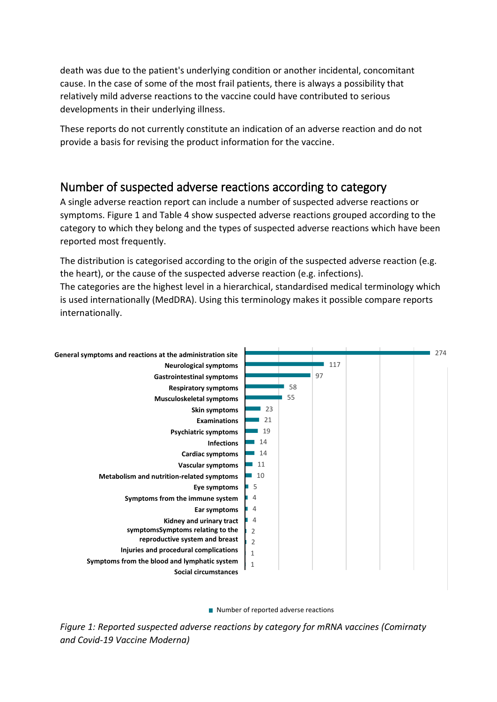death was due to the patient's underlying condition or another incidental, concomitant cause. In the case of some of the most frail patients, there is always a possibility that relatively mild adverse reactions to the vaccine could have contributed to serious developments in their underlying illness.

These reports do not currently constitute an indication of an adverse reaction and do not provide a basis for revising the product information for the vaccine.

# Number of suspected adverse reactions according to category

A single adverse reaction report can include a number of suspected adverse reactions or symptoms. Figure 1 and Table 4 show suspected adverse reactions grouped according to the category to which they belong and the types of suspected adverse reactions which have been reported most frequently.

The distribution is categorised according to the origin of the suspected adverse reaction (e.g. the heart), or the cause of the suspected adverse reaction (e.g. infections). The categories are the highest level in a hierarchical, standardised medical terminology which is used internationally (MedDRA). Using this terminology makes it possible compare reports internationally.



Number of reported adverse reactions

*Figure 1: Reported suspected adverse reactions by category for mRNA vaccines (Comirnaty and Covid-19 Vaccine Moderna)*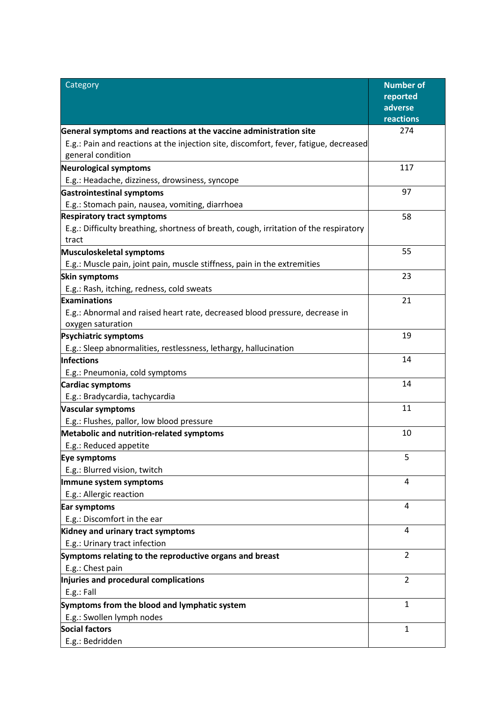| Category                                                                                       | <b>Number of</b>    |
|------------------------------------------------------------------------------------------------|---------------------|
|                                                                                                | reported<br>adverse |
|                                                                                                | reactions           |
| General symptoms and reactions at the vaccine administration site                              | 274                 |
| E.g.: Pain and reactions at the injection site, discomfort, fever, fatigue, decreased          |                     |
| general condition                                                                              |                     |
| <b>Neurological symptoms</b>                                                                   | 117                 |
| E.g.: Headache, dizziness, drowsiness, syncope                                                 |                     |
| <b>Gastrointestinal symptoms</b>                                                               | 97                  |
| E.g.: Stomach pain, nausea, vomiting, diarrhoea                                                |                     |
| <b>Respiratory tract symptoms</b>                                                              | 58                  |
| E.g.: Difficulty breathing, shortness of breath, cough, irritation of the respiratory<br>tract |                     |
| Musculoskeletal symptoms                                                                       | 55                  |
| E.g.: Muscle pain, joint pain, muscle stiffness, pain in the extremities                       |                     |
| Skin symptoms                                                                                  | 23                  |
| E.g.: Rash, itching, redness, cold sweats                                                      |                     |
| Examinations                                                                                   | 21                  |
| E.g.: Abnormal and raised heart rate, decreased blood pressure, decrease in                    |                     |
| oxygen saturation                                                                              |                     |
| <b>Psychiatric symptoms</b>                                                                    | 19                  |
| E.g.: Sleep abnormalities, restlessness, lethargy, hallucination                               | 14                  |
| Infections                                                                                     |                     |
| E.g.: Pneumonia, cold symptoms<br><b>Cardiac symptoms</b>                                      | 14                  |
| E.g.: Bradycardia, tachycardia                                                                 |                     |
| <b>Vascular symptoms</b>                                                                       | 11                  |
| E.g.: Flushes, pallor, low blood pressure                                                      |                     |
| Metabolic and nutrition-related symptoms                                                       | 10                  |
| E.g.: Reduced appetite                                                                         |                     |
| Eye symptoms                                                                                   | 5                   |
| E.g.: Blurred vision, twitch                                                                   |                     |
| Immune system symptoms                                                                         | 4                   |
| E.g.: Allergic reaction                                                                        |                     |
| Ear symptoms                                                                                   | 4                   |
| E.g.: Discomfort in the ear                                                                    |                     |
| Kidney and urinary tract symptoms                                                              | 4                   |
| E.g.: Urinary tract infection                                                                  |                     |
| Symptoms relating to the reproductive organs and breast                                        | $\overline{2}$      |
| E.g.: Chest pain                                                                               |                     |
| Injuries and procedural complications                                                          | $\overline{2}$      |
| E.g.: Fall                                                                                     |                     |
| Symptoms from the blood and lymphatic system                                                   | $\mathbf{1}$        |
| E.g.: Swollen lymph nodes<br><b>Social factors</b>                                             | $\mathbf{1}$        |
|                                                                                                |                     |
| E.g.: Bedridden                                                                                |                     |